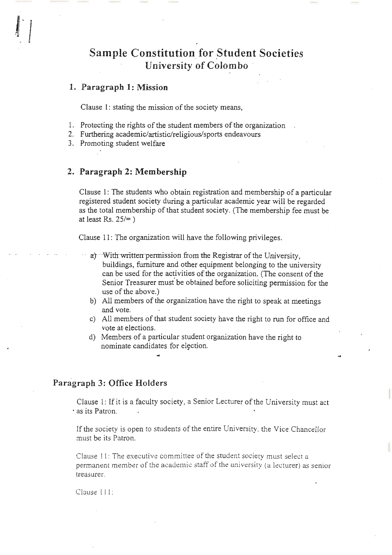# **Sample Constitution for \_Student Societies University of Colombo**

# **1. Paragraph 1: Mission**

 $\frac{1}{2}$ - "

Clause 1: stating the mission of the society means,

- 1. Protecting the rights of the student members of the organization
- 2. Furthering academic/artistic/religious/sports endeavours
- 3. Promoting student welfare

# **2. Paragraph 2: Membership**

Clause 1: The students who obtain registration and membership of a particular registered student society during a particular academic year will be regarded as the total membership of that student society. (The membership fee must be at least Rs.  $25/=$ )

Clause 11: The organization will have the following privileges.

- a) With written permission from the Registrar of the University, buildings, furniture and other equipment belonging to the university can be used for the activities of the organization. (The consent of the Senior Treasurer must be obtained before soliciting permission for the use of the above.)
- b) All members of the organization have the right to speak at meetings and vote.
- c) All members of that student society have the right to run for office and vote at elections.
- d) Members of a particular student organization have the right to nominate candidates for election.

### **Paragraph 3: Office Holders**

Clause 1: If it is a faculty society, a Senior Lecturer of the University must act · as its Patron.

If the society is open to students of the entire University. the Vice Chancellor must be its Patron.

Clause 11: The executive committee of the student society must select a permanent member of the academic staff of the uni versity (a lecturer) as senior treasurer.

Clause l I I: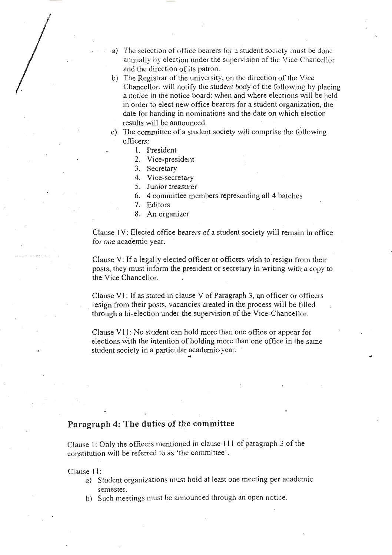,a) The selection of office bearers for a student society must be done annually by election under the supervision of the Vice Chancellor and the direction of its patron.

"

..

- b) The Registrar of the university, on the direction of the Vice Chancellor, will notify the student body of the following by placing a notice in the notice board: when and where elections will be held in order to elect new office bearers for a student organization, the date for handing in nominations and the date on which election results will be announced.
- c) The committee of a student society will comprise the following officers:
	- 1. President
	- 2. Vice-president
	- 3. Secretary
	- 4. Vice-secretary
	- 5. Junior treasurer
	- 6. 4 committee members representing all 4 batches
	- 7. Editors
	- 8. An organizer

Clause 1 V: Elected office bearers of a student society will remain in office for one academic year.

Clause V: If a legally elected officer or officers wish to resign from their posts, they must inform the president or secretary in writing with a copy to the Vice Chancellor.

Clause V1: If as stated in clause V of Paragraph 3, an officer or officers . resign from their posts, vacancies created in the process will be filled through a bi-election under the supervision of the Vice-Chancellor.

Clause V11: No student can hold more than one office or appear for elections with the intention of holding more than one office in the same student society in a particular academic-year.

# **Paragraph 4: The duties of the committee**

Clause I: Only the officers mentioned in clause 111 of paragraph 3 of the constitution will be referred to as ' the committee'.

Clause 11:

- a) Student organizations must hold at least one meeting per academic semester.
- b) Such meetings must be announced through an open notice .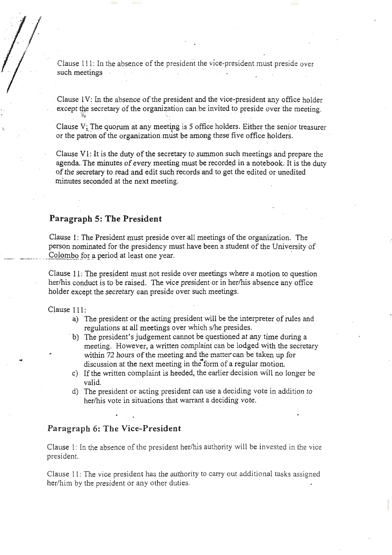Clause l l l: In the absence of the president the vice-president must preside over such meetings  $\cdot$ 

Clause 1V: In the absence of the president and the vice-president any office holder except the secretary of the organization can be invited to preside over the meeting.

Clause  $V_i$ : The quorum at any meeting is 5 office holders. Either the senior treasurer or the patron of the organization must be among these five office holders.

Clause  $V_1$ : It is the duty of the secretary to summon such meetings and prepare the agenda. The minutes of every meeting must be recorded in a notebook. It is the duty of the secretary to read and edit such records and to get the edited or unedited minutes seconded at the next meeting.

# **Paragraph 5: The President**

 $\eta_{\mu}$ 

Clause 1: The President must preside over all meetings of the organization. The person nominated for the presidency must have been a student of the University of Colombo for a period at least one year.

Clause 11: The president must not reside over meetings where a motion to question her/his conduct is to be raised. The vice president or in her/his absence any office holder except the secretary can preside over such meetings.

Clause 111:

...

.?

*I* 

- a) The president or the acting president will be the interpreter of rules and regulations at all meetings over which s/he presides.
- · b) The president's judgement cannot be questioned at any time during a meeting. However, a written complaint can be lodged with the secretary within 72 hours of the meeting and the matter can be taken up for discussion at the next meeting in the form of a regular motion.
- c) If the written complaint is heeded, the earlier decision will no longer be valid.
- d) The president or acting president can use a deciding vote in addition to her/his vote in situations that warrant a deciding vote.

### **Paragraph 6: The Vice-President**

Clause 1: In the absence of the president her/his authority will be invested in the vice president.

Clause 11: The vice president has the authority to carry out additional tasks assigned her/him by the president or any other duties.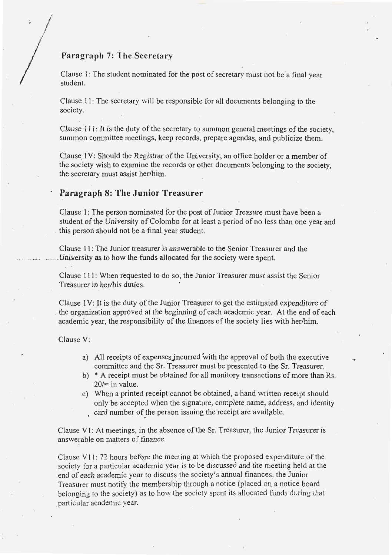# **Paragraph** 7: **The Secretary**

*j*  / *I*  ./ *j* 

> Clause 1: The student nominated for the post of secretary must not be a final year student.

..

..

Clause 11: The secretary will be responsible for all documents belonging to the society.

Clause l 11: It is the duty of the secretary to summon general meetings of the society, summon committee meetings, keep records, prepare agendas, and publicize them.

Clause. 1 V: Should the Registrar of the University, an office holder or a member of the society wish to examine the records or other documents belonging to the society, the secretary must assist her/him.

### **Paragraph 8: The Junior Treasurer**

Clause I: The person nominated for the post of Junior Treasure must have been a student of the University of Colombo for at least a period of no less than one year and . this person should not be a final year student.

Clause 11 : The Junior treasurer is answerable to the Senior Treasurer and the University as to how the funds allocated for the society were spent.

Clause 111: When requested to do so, the Junior Treasurer must assist the Senior Treasurer in her/his duties.

Clause l V: It is the duty of the Junior Treasurer to get the estimated expenditure of . the organization approved at the beginning of each academic year. At the end of each academic year, the responsibility of the finances of the society lies with her/him.

Clause V:

- a) All receipts of expensesjncurred with the approval of both the executive committee and the Sr. Treasurer must be presented to the Sr. Treasurer.
- b) \* A receipt must be obtained for all monitory transactions of more than Rs.  $20/$ = in value.
- c) When a printed receipt cannot be obtained, a hand written receipt should only be accepted when the signature, complete name, address, and identity card number of the person issuing the receipt are available.

Clause V 1: At meetings, in the absence of the Sr. Treasurer, the Junior Treasurer is answerable on matters of finance .

Clause V11: 72 hours before the meeting at which the proposed expenditure of the society for a particular academic year is to be discussed and the meeting held at the end of each academic year to discuss the society's annual finances, the Junior Treasurer must notify the membership through a notice (placed on a notice board belonging to the society) as to how the society spent its allocated funds during that \_particular academic year.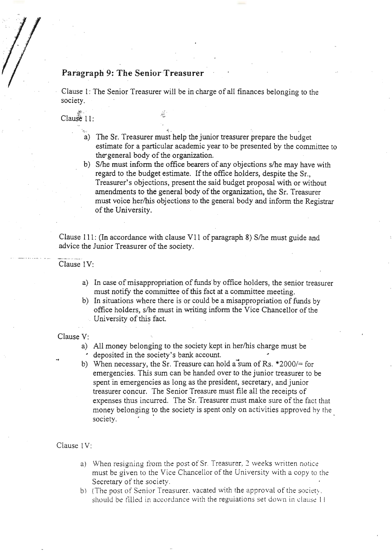# **Paragraph 9: The Senior Treasurer**

r;1 *:* ,.~; t

Clause 1: The Senior Treasurer will be in charge of all finances belonging to the society.

> ·"  $\mathcal{R}^{\mathcal{L}}$  $"!u"$

Clause 11:

- a) The St. Treasurer must help the junior treasurer prepare the budget estimate for a particular academic year to be presented by the committee to the-general body of the organization.
- b) S/he must inform the office bearers of any objections s/he may have with regard to the budget estimate. If the office holders, despite the Sr., Treasurer's objections, present the said budget proposal with or without amendments to the general body of the organization, the Sr. Treasurer must voice her/his objections to the general body and inform the Registrar of the University.

Clause 111: (In accordance with clause V11 of paragraph 8) S/he must guide and advice the Junior Treasurer of the society.

Clause 1V:

- a) In case of misappropriation of funds by office holders, the senior treasurer must notify the committee of this fact at a committee meeting.
- b) In situations where there is or could be a misappropriation of funds by office holders, s/he must in writing inform the Vice Chancellor of the University of this fact.

Clause V:

- a) All money belonging to the society kept in her/his charge must be • deposited in the society's bank account.
- b) When necessary, the Sr. Treasure can hold a sum of Rs.  $*2000/=$  for emergencies. This sum can be handed over to the junior treasurer to be spent in emergencies as long as the president, secretary, and junior treasurer concur. The Senior Treasure must file all the receipts of expenses thus incurred. The Sr. Treasurer must make sure of the fact that money belonging to the society is spent only on activities approved by the society.

Clause IV:

- a) \,Vhen resigning from the post of Sr. Treasurer, *2* weeks vvritten notice must be given to the Vice Chancellor of the University with a copy to the Secretary of the society.
- b) (The post of Senior Treasurer, vacated with the approval of the society. should be filled in accordance with the regulations set down in clause  $11$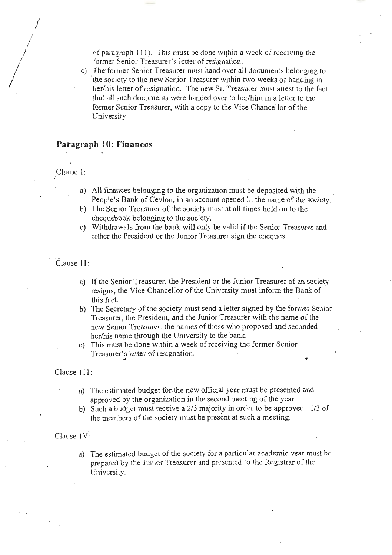of paragraph 111). This must be done within a week of receiving the former Senior Treasurer's letter of resignation .

c) The former Senior Treasurer must hand over all documents belonging to the society to the new Senior Treasurer within two weeks of handing in her/his letter of resignation. The new Sr. Treasurer must attest to the fact that all such documents were handed over to her/him in a letter to the former Senior Treasurer, with a copy to the Vice Chancellor of the University.

### **Paragraph 10: Finances**

Clause 1:

*/*  .( *l ,kj I* 

*I* 

- . a) All finances belonging to the organization must be deposited with the People's Bank of Ceylon, in an account opened in the name of the society.
- b) The Senior Treasurer of the society must at all times hold on to the chequebook belonging to the society.
- c) Withdrawals from the bank will only be valid if the Senior Treasurer and either the President or the Junior Treasurer sign the cheques.

Clause 11:

- a) If the Senior Treasurer, the President or the Junior Treasurer of an society resigns, the Vice Chancellor of the University must inform the Bank of this fact.
- b) The Secretary of the society must send a letter signed by the former Senior Treasurer, the President, and the Junior Treasurer with the name of the new Senior Treasurer, the names of those who proposed and seconded her/his name through the University to the bank.
- c) This must be done within a week of receiving the former Senior Treasurer's letter of resignation.

#### Clause 111:

- a) The estimated budget for the new official year must be presented and approved by the organization in the second meeting of the year.
- b) Such a budget must receive a 2/3 majority in order to be approved. 1/3 of the members of the society must be present at such a meeting.

#### Clause l V:

a) The estimated budget of the society for a particular academic year must be prepared by the Junior Treasurer and presented to the Registrar of the University.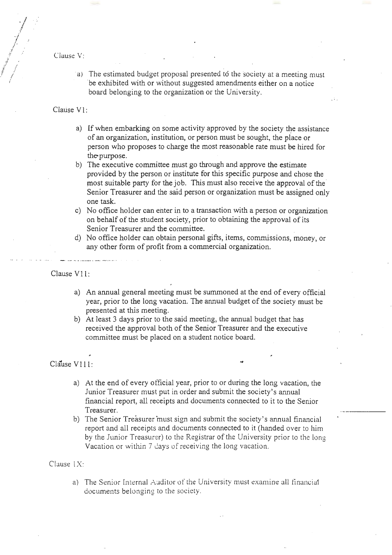Clause V:

 $\bigg\}$ *.1 ? ,1*  -I J Ii / *ii* , 7 ./ *!*  ,'

- *I*  /

> a) The estimated budget proposal presented to the society at a meeting must be exhibited with or without suggested amendments either on a notice board belonging to the organization or the University.

### Clause V<sub>1:</sub>

- a) If when embarking on some activity approved by the society the assistance of an organization, institution, or person must be sought, the place or person who proposes to charge the most reasonable rate must be hired for the-purpose.
- b) The executive committee must go through and approve the estimate provided by the person or institute for this specific purpose and chose the most suitable party for the job. This must also receive the approval of the Senior Treasurer and the said person or organization must be assigned only one task.
- c) No office holder can enter in to a transaction with a person or organization on behalf of the student society, prior to obtaining the approval of its Senior Treasurer and the committee.
- d) No office holder can obtain personal gifts, items, commissions, money, or any other form of profit from a commercial organization.

Clause V11:

- a) An annual general meeting must be summoned at the end of every official year, prior to the long vacation. The annual budget of the society must be presented at this meeting.
- b) At least 3 days prior to the said meeting, the annual budget that has received the approval both of the Senior Treasurer and the executive committee must be placed on a student notice board.

### Clause V111:

- a) At the end of every official year, prior to or during the long vacation, the Junior Treasurer must put in order and submit the society's annual financial report, all receipts and documents connected to it to the Senior Treasurer.
- b) The Senior Treasurer 'must sign and submit the society's annual financial report and all receipts and documents connected to it (handed over to him by the Junior Treasurer) to the Registrar of the University prior to the long Vacation or within 7 days of receiving the long vacation.

### Clause 1X:

a) The Senior Internal Auditor of the University must examine all financial documents belonging to the society.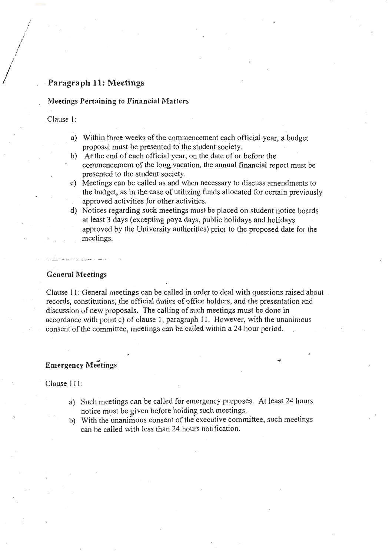# · **Paragraph 11: Meetings**

### **tYieetings Pertaining to Financial Matters**

Clause 1:

 $\bigg)$ 

*I i*  / *i i*  / /

- a) Within three weeks of the commencement each official year, a budget proposal must be presented to the student society.
- b) *At* the end of each official year, on the date of or before the commencement of the long vacation, the annual financial report must be presented to the student society.
- c) Meetings can be called as and when necessary to discuss amendments to the budget, as in the case of utilizing funds allocated for certain previously approved activities for other activities.
- d) Notices regarding such meetings must be placed on student notice boards at least 3 days (excepting poya days, public holidays and holidays approved by the University authorities) prior to the proposed date for the meetings.

**General Meetings** 

Clause 11: General meetings can be called in order to deal with questions raised about records, constitutions, the official duties of office holders, and the presentation and discussion of new proposals. The calling of such meetings must be done in accordance with point c) of clause 1, paragraph 11 . However, with the unanimous consent of the committee, meetings can be called within a 24 hour period .

### ., . **Emergency Meetmgs**

Clause 111:

- a) Such meetings can be called for emergency purposes. At least 24 hours notice must be given before holding such meetings.
- b) With the unanimous consent of the'executive committee, such meetings can be called with less than 24 hours notification.